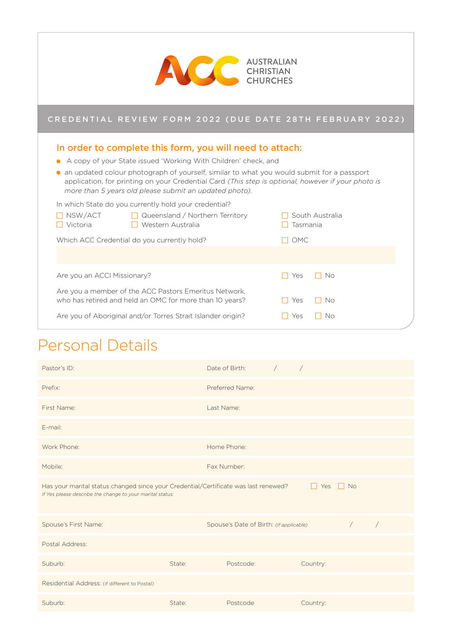| <b>AUSTRALIAN</b><br>CHRISTIAN<br><b>CHURCHES</b>                                                                                                                                                                                                                                                                                                                                                                                                                                                                                                                                 |                                      |  |  |  |
|-----------------------------------------------------------------------------------------------------------------------------------------------------------------------------------------------------------------------------------------------------------------------------------------------------------------------------------------------------------------------------------------------------------------------------------------------------------------------------------------------------------------------------------------------------------------------------------|--------------------------------------|--|--|--|
| CREDENTIAL REVIEW FORM 2022 (DUE DATE 28TH FEBRUARY 2022)                                                                                                                                                                                                                                                                                                                                                                                                                                                                                                                         |                                      |  |  |  |
| In order to complete this form, you will need to attach:<br>A copy of your State issued 'Working With Children' check, and<br>an updated colour photograph of yourself, similar to what you would submit for a passport<br>application, for printing on your Credential Card (This step is optional, however if your photo is<br>more than 5 years old please submit an updated photo).<br>In which State do you currently hold your credential?<br>■ NSW/ACT ■ ■ Queensland / Northern Territory<br>Victoria<br>Western Australia<br>Which ACC Credential do you currently hold? | South Australia<br>Tasmania<br>T OMC |  |  |  |
| Are you an ACCI Missionary?<br>Are you a member of the ACC Pastors Emeritus Network,<br>who has retired and held an OMC for more than 10 years?                                                                                                                                                                                                                                                                                                                                                                                                                                   | <b>No</b><br>Yes<br>No.<br>Yes       |  |  |  |
| Are you of Aboriginal and/or Torres Strait Islander origin?                                                                                                                                                                                                                                                                                                                                                                                                                                                                                                                       | No<br>Yes                            |  |  |  |

٦

# Personal Details

f

| Pastor's ID:                                                                                                                                                              |        | Date of Birth:                          | $\sqrt{2}$ | $\sqrt{2}$ |            |            |
|---------------------------------------------------------------------------------------------------------------------------------------------------------------------------|--------|-----------------------------------------|------------|------------|------------|------------|
| Prefix:                                                                                                                                                                   |        | Preferred Name:                         |            |            |            |            |
| First Name:                                                                                                                                                               |        | Last Name:                              |            |            |            |            |
| E-mail:                                                                                                                                                                   |        |                                         |            |            |            |            |
| Work Phone:                                                                                                                                                               |        | Home Phone:                             |            |            |            |            |
| Mobile:                                                                                                                                                                   |        | Fax Number:                             |            |            |            |            |
| Has your marital status changed since your Credential/Certificate was last renewed?<br>$\Box$ No<br>Yes<br>H<br>If Yes please describe the change to your marital status: |        |                                         |            |            |            |            |
| Spouse's First Name:                                                                                                                                                      |        | Spouse's Date of Birth: (if applicable) |            |            | $\sqrt{2}$ | $\sqrt{2}$ |
| Postal Address:                                                                                                                                                           |        |                                         |            |            |            |            |
| Suburb:                                                                                                                                                                   | State: | Postcode:                               |            | Country:   |            |            |
| Residential Address: (if different to Postal)                                                                                                                             |        |                                         |            |            |            |            |
|                                                                                                                                                                           |        |                                         |            |            |            |            |